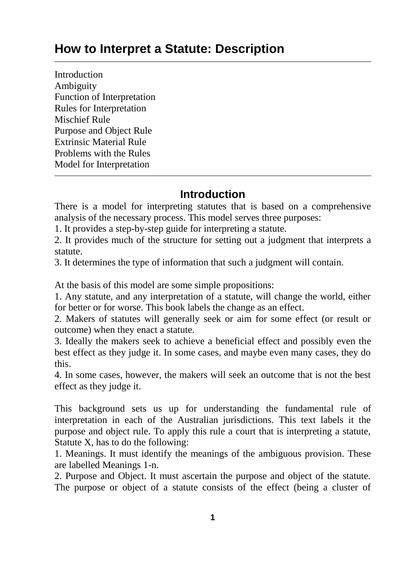# **How to Interpret a Statute: Description**

Introduction Ambiguity Function of Interpretation Rules for Interpretation Mischief Rule Purpose and Object Rule Extrinsic Material Rule Problems with the Rules Model for Interpretation

# **Introduction**

There is a model for interpreting statutes that is based on a comprehensive analysis of the necessary process. This model serves three purposes:

1. It provides a step-by-step guide for interpreting a statute.

2. It provides much of the structure for setting out a judgment that interprets a statute.

3. It determines the type of information that such a judgment will contain.

At the basis of this model are some simple propositions:

1. Any statute, and any interpretation of a statute, will change the world, either for better or for worse. This book labels the change as an effect.

2. Makers of statutes will generally seek or aim for some effect (or result or outcome) when they enact a statute.

3. Ideally the makers seek to achieve a beneficial effect and possibly even the best effect as they judge it. In some cases, and maybe even many cases, they do this.

4. In some cases, however, the makers will seek an outcome that is not the best effect as they judge it.

This background sets us up for understanding the fundamental rule of interpretation in each of the Australian jurisdictions. This text labels it the purpose and object rule. To apply this rule a court that is interpreting a statute, Statute X, has to do the following:

1. Meanings. It must identify the meanings of the ambiguous provision. These are labelled Meanings 1-n.

2. Purpose and Object. It must ascertain the purpose and object of the statute. The purpose or object of a statute consists of the effect (being a cluster of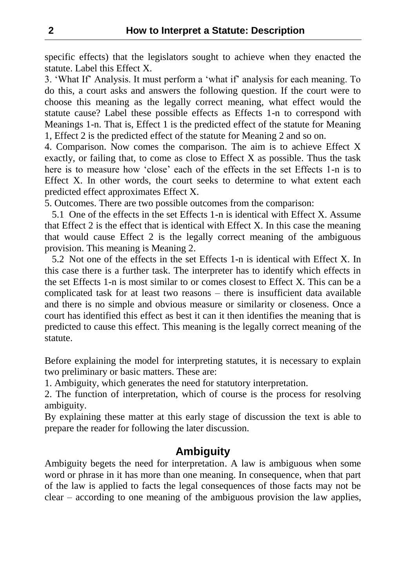specific effects) that the legislators sought to achieve when they enacted the statute. Label this Effect X.

3. 'What If' Analysis. It must perform a 'what if' analysis for each meaning. To do this, a court asks and answers the following question. If the court were to choose this meaning as the legally correct meaning, what effect would the statute cause? Label these possible effects as Effects 1-n to correspond with Meanings 1-n. That is, Effect 1 is the predicted effect of the statute for Meaning 1, Effect 2 is the predicted effect of the statute for Meaning 2 and so on.

4. Comparison. Now comes the comparison. The aim is to achieve Effect X exactly, or failing that, to come as close to Effect  $X$  as possible. Thus the task here is to measure how 'close' each of the effects in the set Effects 1-n is to Effect X. In other words, the court seeks to determine to what extent each predicted effect approximates Effect X.

5. Outcomes. There are two possible outcomes from the comparison:

 5.1 One of the effects in the set Effects 1-n is identical with Effect X. Assume that Effect 2 is the effect that is identical with Effect X. In this case the meaning that would cause Effect 2 is the legally correct meaning of the ambiguous provision. This meaning is Meaning 2.

 5.2 Not one of the effects in the set Effects 1-n is identical with Effect X. In this case there is a further task. The interpreter has to identify which effects in the set Effects 1-n is most similar to or comes closest to Effect X. This can be a complicated task for at least two reasons – there is insufficient data available and there is no simple and obvious measure or similarity or closeness. Once a court has identified this effect as best it can it then identifies the meaning that is predicted to cause this effect. This meaning is the legally correct meaning of the statute.

Before explaining the model for interpreting statutes, it is necessary to explain two preliminary or basic matters. These are:

1. Ambiguity, which generates the need for statutory interpretation.

2. The function of interpretation, which of course is the process for resolving ambiguity.

By explaining these matter at this early stage of discussion the text is able to prepare the reader for following the later discussion.

# **Ambiguity**

Ambiguity begets the need for interpretation. A law is ambiguous when some word or phrase in it has more than one meaning. In consequence, when that part of the law is applied to facts the legal consequences of those facts may not be clear – according to one meaning of the ambiguous provision the law applies,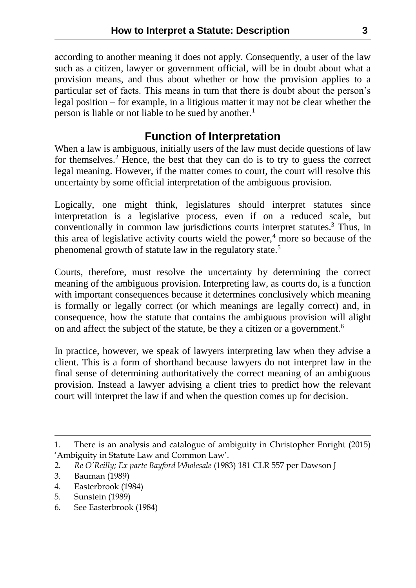according to another meaning it does not apply. Consequently, a user of the law such as a citizen, lawyer or government official, will be in doubt about what a provision means, and thus about whether or how the provision applies to a particular set of facts. This means in turn that there is doubt about the person's legal position – for example, in a litigious matter it may not be clear whether the person is liable or not liable to be sued by another.<sup>1</sup>

# **Function of Interpretation**

When a law is ambiguous, initially users of the law must decide questions of law for themselves.<sup>2</sup> Hence, the best that they can do is to try to guess the correct legal meaning. However, if the matter comes to court, the court will resolve this uncertainty by some official interpretation of the ambiguous provision.

Logically, one might think, legislatures should interpret statutes since interpretation is a legislative process, even if on a reduced scale, but conventionally in common law jurisdictions courts interpret statutes.<sup>3</sup> Thus, in this area of legislative activity courts wield the power, $4 \text{ more so because of the}$ phenomenal growth of statute law in the regulatory state.<sup>5</sup>

Courts, therefore, must resolve the uncertainty by determining the correct meaning of the ambiguous provision. Interpreting law, as courts do, is a function with important consequences because it determines conclusively which meaning is formally or legally correct (or which meanings are legally correct) and, in consequence, how the statute that contains the ambiguous provision will alight on and affect the subject of the statute, be they a citizen or a government.<sup>6</sup>

In practice, however, we speak of lawyers interpreting law when they advise a client. This is a form of shorthand because lawyers do not interpret law in the final sense of determining authoritatively the correct meaning of an ambiguous provision. Instead a lawyer advising a client tries to predict how the relevant court will interpret the law if and when the question comes up for decision.

6. See Easterbrook (1984)

<sup>1.</sup> There is an analysis and catalogue of ambiguity in Christopher Enright (2015) 'Ambiguity in Statute Law and Common Law'.

<sup>2.</sup> *Re O'Reilly; Ex parte Bayford Wholesale* (1983) 181 CLR 557 per Dawson J

<sup>3.</sup> Bauman (1989)

<sup>4.</sup> Easterbrook (1984)

<sup>5.</sup> Sunstein (1989)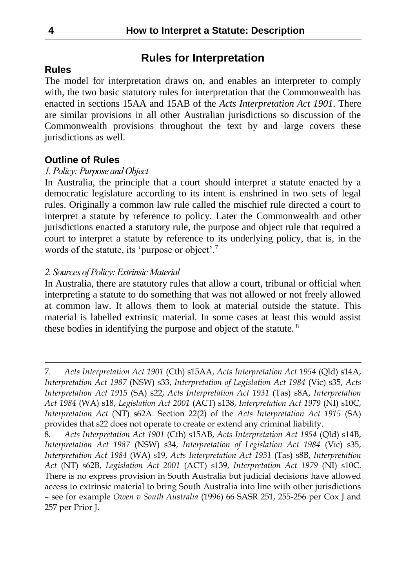# **Rules for Interpretation**

#### **Rules**

The model for interpretation draws on, and enables an interpreter to comply with, the two basic statutory rules for interpretation that the Commonwealth has enacted in sections 15AA and 15AB of the *Acts Interpretation Act 1901*. There are similar provisions in all other Australian jurisdictions so discussion of the Commonwealth provisions throughout the text by and large covers these jurisdictions as well.

#### **Outline of Rules**

#### *1.Policy: Purpose and Object*

In Australia, the principle that a court should interpret a statute enacted by a democratic legislature according to its intent is enshrined in two sets of legal rules. Originally a common law rule called the mischief rule directed a court to interpret a statute by reference to policy. Later the Commonwealth and other jurisdictions enacted a statutory rule, the purpose and object rule that required a court to interpret a statute by reference to its underlying policy, that is, in the words of the statute, its 'purpose or object'.<sup>7</sup>

#### *2. Sources of Policy: Extrinsic Material*

In Australia, there are statutory rules that allow a court, tribunal or official when interpreting a statute to do something that was not allowed or not freely allowed at common law. It allows them to look at material outside the statute. This material is labelled extrinsic material. In some cases at least this would assist these bodies in identifying the purpose and object of the statute.<sup>8</sup>

<sup>7.</sup> *Acts Interpretation Act 1901* (Cth) s15AA, *Acts Interpretation Act 1954* (Qld) s14A, *Interpretation Act 1987* (NSW) s33, *Interpretation of Legislation Act 1984* (Vic) s35, *Acts Interpretation Act 1915* (SA) s22, *Acts Interpretation Act 1931* (Tas) s8A, *Interpretation Act 1984* (WA) s18, *Legislation Act 2001* (ACT) s138, *Interpretation Act 1979* (NI) s10C, *Interpretation Act* (NT) s62A. Section 22(2) of the *Acts Interpretation Act 1915* (SA) provides that s22 does not operate to create or extend any criminal liability.

<sup>8.</sup> *Acts Interpretation Act 1901* (Cth) s15AB, *Acts Interpretation Act 1954* (Qld) s14B, *Interpretation Act 1987* (NSW) s34, *Interpretation of Legislation Act 1984* (Vic) s35, *Interpretation Act 1984* (WA) s19, *Acts Interpretation Act 1931* (Tas) s8B, *Interpretation Act* (NT) s62B, *Legislation Act 2001* (ACT) s139, *Interpretation Act 1979* (NI) s10C. There is no express provision in South Australia but judicial decisions have allowed access to extrinsic material to bring South Australia into line with other jurisdictions – see for example *Owen v South Australia* (1996) 66 SASR 251, 255-256 per Cox J and 257 per Prior J.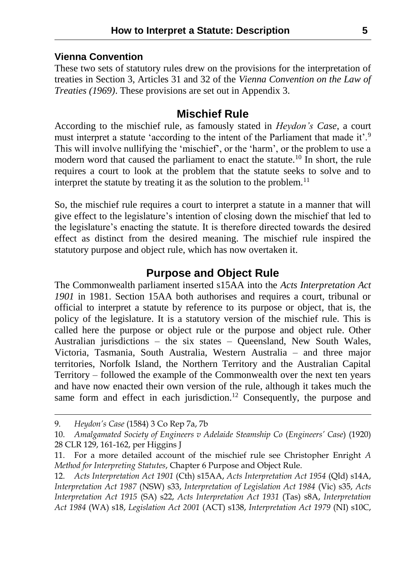#### **Vienna Convention**

These two sets of statutory rules drew on the provisions for the interpretation of treaties in Section 3, Articles 31 and 32 of the *Vienna Convention on the Law of Treaties (1969)*. These provisions are set out in Appendix 3.

#### **Mischief Rule**

According to the mischief rule, as famously stated in *Heydon's Case*, a court must interpret a statute 'according to the intent of the Parliament that made it'.<sup>9</sup> This will involve nullifying the 'mischief', or the 'harm', or the problem to use a modern word that caused the parliament to enact the statute.<sup>10</sup> In short, the rule requires a court to look at the problem that the statute seeks to solve and to interpret the statute by treating it as the solution to the problem.<sup>11</sup>

So, the mischief rule requires a court to interpret a statute in a manner that will give effect to the legislature's intention of closing down the mischief that led to the legislature's enacting the statute. It is therefore directed towards the desired effect as distinct from the desired meaning. The mischief rule inspired the statutory purpose and object rule, which has now overtaken it.

### **Purpose and Object Rule**

The Commonwealth parliament inserted s15AA into the *Acts Interpretation Act 1901* in 1981. Section 15AA both authorises and requires a court, tribunal or official to interpret a statute by reference to its purpose or object, that is, the policy of the legislature. It is a statutory version of the mischief rule. This is called here the purpose or object rule or the purpose and object rule. Other Australian jurisdictions – the six states – Queensland, New South Wales, Victoria, Tasmania, South Australia, Western Australia – and three major territories, Norfolk Island, the Northern Territory and the Australian Capital Territory – followed the example of the Commonwealth over the next ten years and have now enacted their own version of the rule, although it takes much the same form and effect in each jurisdiction.<sup>12</sup> Consequently, the purpose and

<sup>9.</sup> *Heydon's Case* (1584) 3 Co Rep 7a, 7b

<sup>10.</sup> *Amalgamated Society of Engineers v Adelaide Steamship Co* (*Engineers' Case*) (1920) 28 CLR 129, 161-162, per Higgins J

<sup>11.</sup> For a more detailed account of the mischief rule see Christopher Enright *A Method for Interpreting Statutes*, Chapter 6 Purpose and Object Rule.

<sup>12.</sup> *Acts Interpretation Act 1901* (Cth) s15AA, *Acts Interpretation Act 1954* (Qld) s14A, *Interpretation Act 1987* (NSW) s33, *Interpretation of Legislation Act 1984* (Vic) s35, *Acts Interpretation Act 1915* (SA) s22, *Acts Interpretation Act 1931* (Tas) s8A, *Interpretation Act 1984* (WA) s18, *Legislation Act 2001* (ACT) s138, *Interpretation Act 1979* (NI) s10C,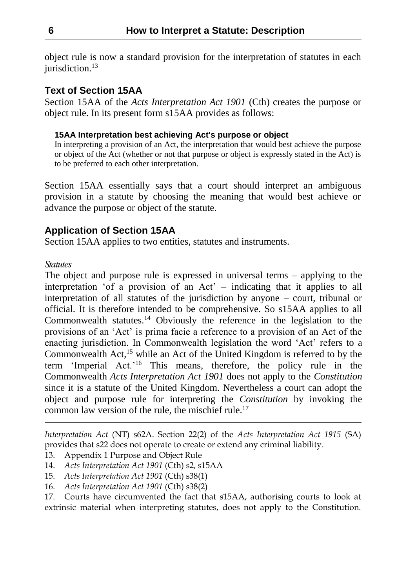object rule is now a standard provision for the interpretation of statutes in each jurisdiction.<sup>13</sup>

### **Text of Section 15AA**

Section 15AA of the *Acts Interpretation Act 1901* (Cth) creates the purpose or object rule. In its present form s15AA provides as follows:

#### **15AA Interpretation best achieving Act's purpose or object**

In interpreting a provision of an Act, the interpretation that would best achieve the purpose or object of the Act (whether or not that purpose or object is expressly stated in the Act) is to be preferred to each other interpretation.

Section 15AA essentially says that a court should interpret an ambiguous provision in a statute by choosing the meaning that would best achieve or advance the purpose or object of the statute.

## **Application of Section 15AA**

Section 15AA applies to two entities, statutes and instruments.

#### *Statutes*

The object and purpose rule is expressed in universal terms – applying to the interpretation 'of a provision of an Act' – indicating that it applies to all interpretation of all statutes of the jurisdiction by anyone – court, tribunal or official. It is therefore intended to be comprehensive. So s15AA applies to all Commonwealth statutes.<sup>14</sup> Obviously the reference in the legislation to the provisions of an 'Act' is prima facie a reference to a provision of an Act of the enacting jurisdiction. In Commonwealth legislation the word 'Act' refers to a Commonwealth Act,<sup>15</sup> while an Act of the United Kingdom is referred to by the term 'Imperial Act.'<sup>16</sup> This means, therefore, the policy rule in the Commonwealth *Acts Interpretation Act 1901* does not apply to the *Constitution* since it is a statute of the United Kingdom. Nevertheless a court can adopt the object and purpose rule for interpreting the *Constitution* by invoking the common law version of the rule, the mischief rule.<sup>17</sup>

*Interpretation Act* (NT) s62A. Section 22(2) of the *Acts Interpretation Act 1915* (SA) provides that s22 does not operate to create or extend any criminal liability.

- 14. *Acts Interpretation Act 1901* (Cth) s2, s15AA
- 15. *Acts Interpretation Act 1901* (Cth) s38(1)
- 16. *Acts Interpretation Act 1901* (Cth) s38(2)

17. Courts have circumvented the fact that s15AA, authorising courts to look at extrinsic material when interpreting statutes, does not apply to the Constitution.

<sup>13.</sup> Appendix 1 Purpose and Object Rule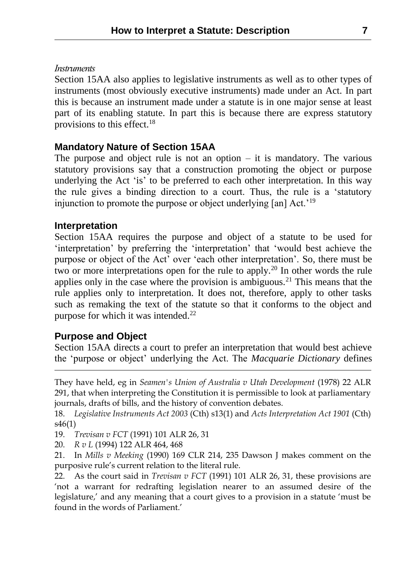#### *Instruments*

Section 15AA also applies to legislative instruments as well as to other types of instruments (most obviously executive instruments) made under an Act. In part this is because an instrument made under a statute is in one major sense at least part of its enabling statute. In part this is because there are express statutory provisions to this effect.<sup>18</sup>

### **Mandatory Nature of Section 15AA**

The purpose and object rule is not an option  $-$  it is mandatory. The various statutory provisions say that a construction promoting the object or purpose underlying the Act 'is' to be preferred to each other interpretation. In this way the rule gives a binding direction to a court. Thus, the rule is a 'statutory injunction to promote the purpose or object underlying  $\lceil \text{an} \rceil \text{ Act.}^{19} \rceil$ 

#### **Interpretation**

Section 15AA requires the purpose and object of a statute to be used for 'interpretation' by preferring the 'interpretation' that 'would best achieve the purpose or object of the Act' over 'each other interpretation'. So, there must be two or more interpretations open for the rule to apply.<sup>20</sup> In other words the rule applies only in the case where the provision is ambiguous.<sup>21</sup> This means that the rule applies only to interpretation. It does not, therefore, apply to other tasks such as remaking the text of the statute so that it conforms to the object and purpose for which it was intended.<sup>22</sup>

#### **Purpose and Object**

Section 15AA directs a court to prefer an interpretation that would best achieve the 'purpose or object' underlying the Act. The *Macquarie Dictionary* defines

They have held, eg in *Seamen's Union of Australia v Utah Development* (1978) 22 ALR 291, that when interpreting the Constitution it is permissible to look at parliamentary journals, drafts of bills, and the history of convention debates.

18. *Legislative Instruments Act 2003* (Cth) s13(1) and *Acts Interpretation Act 1901* (Cth) s46(1)

19. *Trevisan v FCT* (1991) 101 ALR 26, 31

20. *R v L* (1994) 122 ALR 464, 468

21. In *Mills v Meeking* (1990) 169 CLR 214, 235 Dawson J makes comment on the purposive rule's current relation to the literal rule.

22. As the court said in *Trevisan v FCT* (1991) 101 ALR 26, 31, these provisions are 'not a warrant for redrafting legislation nearer to an assumed desire of the legislature,' and any meaning that a court gives to a provision in a statute 'must be found in the words of Parliament.'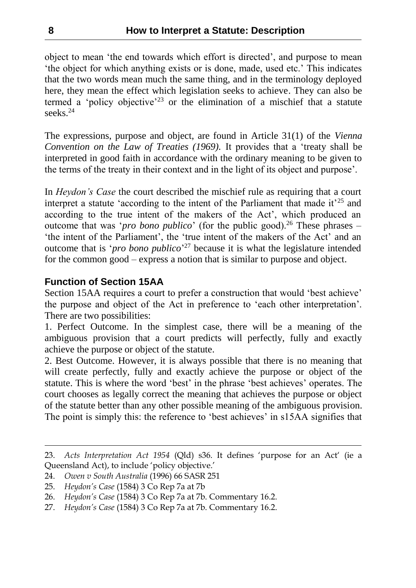object to mean 'the end towards which effort is directed', and purpose to mean 'the object for which anything exists or is done, made, used etc.' This indicates that the two words mean much the same thing, and in the terminology deployed here, they mean the effect which legislation seeks to achieve. They can also be termed a 'policy objective'<sup>23</sup> or the elimination of a mischief that a statute seeks.<sup>24</sup>

The expressions, purpose and object, are found in Article 31(1) of the *Vienna Convention on the Law of Treaties (1969).* It provides that a 'treaty shall be interpreted in good faith in accordance with the ordinary meaning to be given to the terms of the treaty in their context and in the light of its object and purpose'.

In *Heydon's Case* the court described the mischief rule as requiring that a court interpret a statute 'according to the intent of the Parliament that made it<sup> $25$ </sup> and according to the true intent of the makers of the Act', which produced an outcome that was '*pro bono publico*' (for the public good).<sup>26</sup> These phrases – 'the intent of the Parliament', the 'true intent of the makers of the Act' and an outcome that is '*pro bono publico*' <sup>27</sup> because it is what the legislature intended for the common good – express a notion that is similar to purpose and object.

# **Function of Section 15AA**

Section 15AA requires a court to prefer a construction that would 'best achieve' the purpose and object of the Act in preference to 'each other interpretation'. There are two possibilities:

1. Perfect Outcome. In the simplest case, there will be a meaning of the ambiguous provision that a court predicts will perfectly, fully and exactly achieve the purpose or object of the statute.

2. Best Outcome. However, it is always possible that there is no meaning that will create perfectly, fully and exactly achieve the purpose or object of the statute. This is where the word 'best' in the phrase 'best achieves' operates. The court chooses as legally correct the meaning that achieves the purpose or object of the statute better than any other possible meaning of the ambiguous provision. The point is simply this: the reference to 'best achieves' in s15AA signifies that

<sup>23.</sup> *Acts Interpretation Act 1954* (Qld) s36. It defines 'purpose for [an Act](http://www.austlii.edu.au/au/legis/qld/consol_act/aia1954230/s2.html#an_act)' (ie a Queensland Act), to include 'policy objective.'

<sup>24.</sup> *Owen v South Australia* (1996) 66 SASR 251

<sup>25.</sup> *Heydon's Case* (1584) 3 Co Rep 7a at 7b

<sup>26.</sup> *Heydon's Case* (1584) 3 Co Rep 7a at 7b. Commentary 16.2.

<sup>27.</sup> *Heydon's Case* (1584) 3 Co Rep 7a at 7b. Commentary 16.2.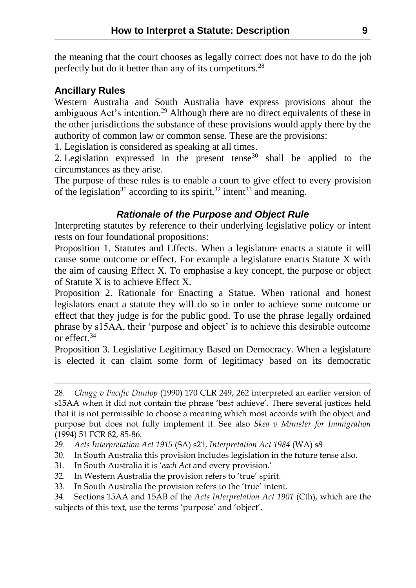the meaning that the court chooses as legally correct does not have to do the job perfectly but do it better than any of its competitors.<sup>28</sup>

# **Ancillary Rules**

Western Australia and South Australia have express provisions about the ambiguous Act's intention.<sup>29</sup> Although there are no direct equivalents of these in the other jurisdictions the substance of these provisions would apply there by the authority of common law or common sense. These are the provisions:

1. Legislation is considered as speaking at all times.

2. Legislation expressed in the present tense<sup>30</sup> shall be applied to the circumstances as they arise.

The purpose of these rules is to enable a court to give effect to every provision of the legislation<sup>31</sup> according to its spirit,<sup>32</sup> intent<sup>33</sup> and meaning.

# *Rationale of the Purpose and Object Rule*

Interpreting statutes by reference to their underlying legislative policy or intent rests on four foundational propositions:

Proposition 1. Statutes and Effects. When a legislature enacts a statute it will cause some outcome or effect. For example a legislature enacts Statute X with the aim of causing Effect X. To emphasise a key concept, the purpose or object of Statute X is to achieve Effect X.

Proposition 2. Rationale for Enacting a Statue. When rational and honest legislators enact a statute they will do so in order to achieve some outcome or effect that they judge is for the public good. To use the phrase legally ordained phrase by s15AA, their 'purpose and object' is to achieve this desirable outcome or effect.<sup>34</sup>

Proposition 3. Legislative Legitimacy Based on Democracy. When a legislature is elected it can claim some form of legitimacy based on its democratic

- 30. In South Australia this provision includes legislation in the future tense also.
- 31. In South Australia it is '*each Act* and every provision.'
- 32. In Western Australia the provision refers to 'true' spirit.
- 33. In South Australia the provision refers to the 'true' intent.
- 34. Sections 15AA and 15AB of the *Acts Interpretation Act 1901* (Cth), which are the subjects of this text, use the terms 'purpose' and 'object'.

<sup>28.</sup> *Chugg v Pacific Dunlop* (1990) 170 CLR 249, 262 interpreted an earlier version of s15AA when it did not contain the phrase 'best achieve'. There several justices held that it is not permissible to choose a meaning which most accords with the object and purpose but does not fully implement it. See also *Skea v Minister for Immigration* (1994) 51 FCR 82, 85-86.

<sup>29.</sup> *Acts Interpretation Act 1915* (SA) s21, *Interpretation Act 1984* (WA) s8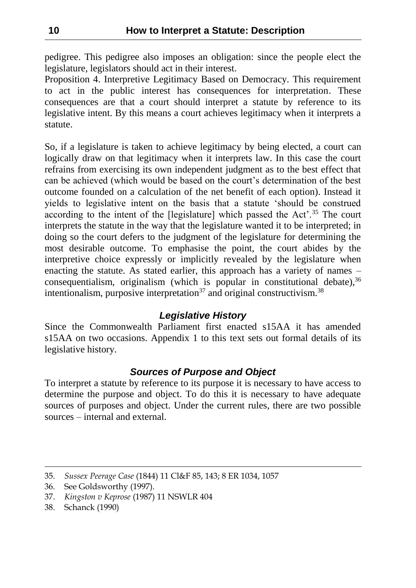pedigree. This pedigree also imposes an obligation: since the people elect the legislature, legislators should act in their interest.

Proposition 4. Interpretive Legitimacy Based on Democracy. This requirement to act in the public interest has consequences for interpretation. These consequences are that a court should interpret a statute by reference to its legislative intent. By this means a court achieves legitimacy when it interprets a statute.

So, if a legislature is taken to achieve legitimacy by being elected, a court can logically draw on that legitimacy when it interprets law. In this case the court refrains from exercising its own independent judgment as to the best effect that can be achieved (which would be based on the court's determination of the best outcome founded on a calculation of the net benefit of each option). Instead it yields to legislative intent on the basis that a statute 'should be construed according to the intent of the [legislature] which passed the Act'.<sup>35</sup> The court interprets the statute in the way that the legislature wanted it to be interpreted; in doing so the court defers to the judgment of the legislature for determining the most desirable outcome. To emphasise the point, the court abides by the interpretive choice expressly or implicitly revealed by the legislature when enacting the statute. As stated earlier, this approach has a variety of names – consequentialism, originalism (which is popular in constitutional debate),  $36$ intentionalism, purposive interpretation<sup>37</sup> and original constructivism.<sup>38</sup>

## *Legislative History*

Since the Commonwealth Parliament first enacted s15AA it has amended s15AA on two occasions. Appendix 1 to this text sets out formal details of its legislative history.

## *Sources of Purpose and Object*

To interpret a statute by reference to its purpose it is necessary to have access to determine the purpose and object. To do this it is necessary to have adequate sources of purposes and object. Under the current rules, there are two possible sources – internal and external.

<sup>35.</sup> *Sussex Peerage Case* (1844) 11 Cl&F 85, 143; 8 ER 1034, 1057

<sup>36.</sup> See Goldsworthy (1997).

<sup>37.</sup> *Kingston v Keprose* (1987) 11 NSWLR 404

<sup>38.</sup> Schanck (1990)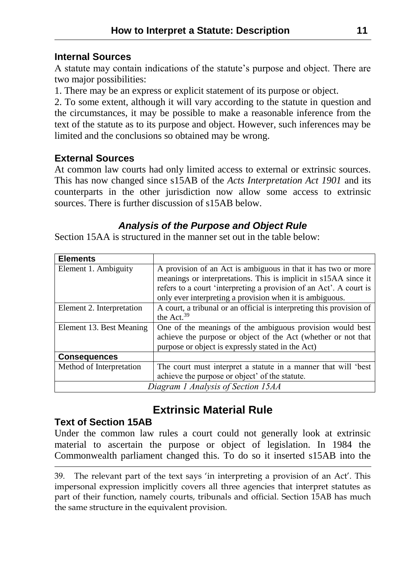# **Internal Sources**

A statute may contain indications of the statute's purpose and object. There are two major possibilities:

1. There may be an express or explicit statement of its purpose or object.

2. To some extent, although it will vary according to the statute in question and the circumstances, it may be possible to make a reasonable inference from the text of the statute as to its purpose and object. However, such inferences may be limited and the conclusions so obtained may be wrong.

# **External Sources**

At common law courts had only limited access to external or extrinsic sources. This has now changed since s15AB of the *Acts Interpretation Act 1901* and its counterparts in the other jurisdiction now allow some access to extrinsic sources. There is further discussion of s15AB below.

# *Analysis of the Purpose and Object Rule*

Section 15AA is structured in the manner set out in the table below:

| <b>Elements</b>                    |                                                                      |  |
|------------------------------------|----------------------------------------------------------------------|--|
| Element 1. Ambiguity               | A provision of an Act is ambiguous in that it has two or more        |  |
|                                    | meanings or interpretations. This is implicit in s15AA since it      |  |
|                                    | refers to a court 'interpreting a provision of an Act'. A court is   |  |
|                                    | only ever interpreting a provision when it is ambiguous.             |  |
| Element 2. Interpretation          | A court, a tribunal or an official is interpreting this provision of |  |
|                                    | the Act. $39$                                                        |  |
| Element 13. Best Meaning           | One of the meanings of the ambiguous provision would best            |  |
|                                    | achieve the purpose or object of the Act (whether or not that        |  |
|                                    | purpose or object is expressly stated in the Act)                    |  |
| <b>Consequences</b>                |                                                                      |  |
| Method of Interpretation           | The court must interpret a statute in a manner that will 'best       |  |
|                                    | achieve the purpose or object' of the statute.                       |  |
| Diagram 1 Analysis of Section 15AA |                                                                      |  |

# **Extrinsic Material Rule**

# **Text of Section 15AB**

Under the common law rules a court could not generally look at extrinsic material to ascertain the purpose or object of legislation. In 1984 the Commonwealth parliament changed this. To do so it inserted s15AB into the

<sup>39.</sup> The relevant part of the text says 'in interpreting a provision of an Act'. This impersonal expression implicitly covers all three agencies that interpret statutes as part of their function, namely courts, tribunals and official. Section 15AB has much the same structure in the equivalent provision.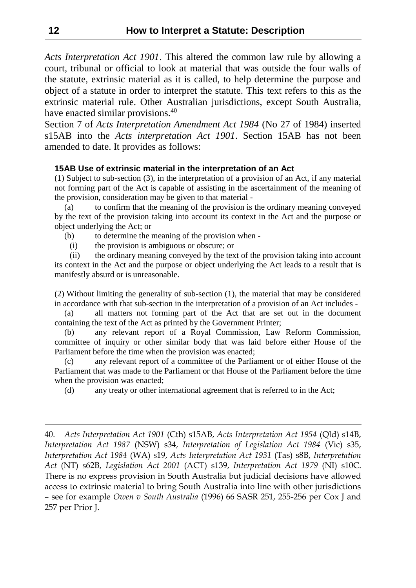*Acts Interpretation Act 1901*. This altered the common law rule by allowing a court, tribunal or official to look at material that was outside the four walls of the statute, extrinsic material as it is called, to help determine the purpose and object of a statute in order to interpret the statute. This text refers to this as the extrinsic material rule. Other Australian jurisdictions, except South Australia, have enacted similar provisions.<sup>40</sup>

Section 7 of *Acts Interpretation Amendment Act 1984* (No 27 of 1984) inserted s15AB into the *Acts interpretation Act 1901*. Section 15AB has not been amended to date. It provides as follows:

#### **15AB Use of extrinsic material in the interpretation of an Act**

(1) Subject to sub-section (3), in the interpretation of a provision of an Act, if any material not forming part of the Act is capable of assisting in the ascertainment of the meaning of the provision, consideration may be given to that material -

(a) to confirm that the meaning of the provision is the ordinary meaning conveyed by the text of the provision taking into account its context in the Act and the purpose or object underlying the Act; or

(b) to determine the meaning of the provision when -

(i) the provision is ambiguous or obscure; or

(ii) the ordinary meaning conveyed by the text of the provision taking into account its context in the Act and the purpose or object underlying the Act leads to a result that is manifestly absurd or is unreasonable.

(2) Without limiting the generality of sub-section (1), the material that may be considered in accordance with that sub-section in the interpretation of a provision of an Act includes -

(a) all matters not forming part of the Act that are set out in the document containing the text of the Act as printed by the Government Printer;

(b) any relevant report of a Royal Commission, Law Reform Commission, committee of inquiry or other similar body that was laid before either House of the Parliament before the time when the provision was enacted;

(c) any relevant report of a committee of the Parliament or of either House of the Parliament that was made to the Parliament or that House of the Parliament before the time when the provision was enacted;

(d) any treaty or other international agreement that is referred to in the Act;

<sup>40.</sup> *Acts Interpretation Act 1901* (Cth) s15AB, *Acts Interpretation Act 1954* (Qld) s14B, *Interpretation Act 1987* (NSW) s34, *Interpretation of Legislation Act 1984* (Vic) s35, *Interpretation Act 1984* (WA) s19, *Acts Interpretation Act 1931* (Tas) s8B, *Interpretation Act* (NT) s62B, *Legislation Act 2001* (ACT) s139, *Interpretation Act 1979* (NI) s10C. There is no express provision in South Australia but judicial decisions have allowed access to extrinsic material to bring South Australia into line with other jurisdictions – see for example *Owen v South Australia* (1996) 66 SASR 251, 255-256 per Cox J and 257 per Prior J.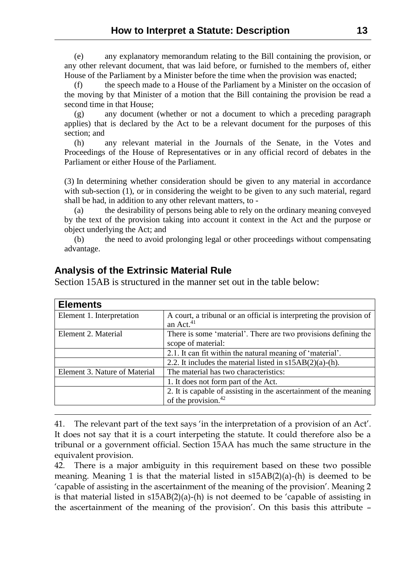(e) any explanatory memorandum relating to the Bill containing the provision, or any other relevant document, that was laid before, or furnished to the members of, either House of the Parliament by a Minister before the time when the provision was enacted;

(f) the speech made to a House of the Parliament by a Minister on the occasion of the moving by that Minister of a motion that the Bill containing the provision be read a second time in that House;

(g) any document (whether or not a document to which a preceding paragraph applies) that is declared by the Act to be a relevant document for the purposes of this section; and

(h) any relevant material in the Journals of the Senate, in the Votes and Proceedings of the House of Representatives or in any official record of debates in the Parliament or either House of the Parliament.

(3) In determining whether consideration should be given to any material in accordance with sub-section (1), or in considering the weight to be given to any such material, regard shall be had, in addition to any other relevant matters, to -

(a) the desirability of persons being able to rely on the ordinary meaning conveyed by the text of the provision taking into account it context in the Act and the purpose or object underlying the Act; and

(b) the need to avoid prolonging legal or other proceedings without compensating advantage.

| <b>Elements</b>               |                                                                     |  |  |
|-------------------------------|---------------------------------------------------------------------|--|--|
| Element 1. Interpretation     | A court, a tribunal or an official is interpreting the provision of |  |  |
|                               | an Act. $41$                                                        |  |  |
| Element 2. Material           | There is some 'material'. There are two provisions defining the     |  |  |
|                               | scope of material:                                                  |  |  |
|                               | 2.1. It can fit within the natural meaning of 'material'.           |  |  |
|                               | 2.2. It includes the material listed in $s15AB(2)(a)-(h)$ .         |  |  |
| Element 3. Nature of Material | The material has two characteristics:                               |  |  |
|                               | 1. It does not form part of the Act.                                |  |  |
|                               | 2. It is capable of assisting in the ascertainment of the meaning   |  |  |
|                               | of the provision. <sup>42</sup>                                     |  |  |

#### **Analysis of the Extrinsic Material Rule**

Section 15AB is structured in the manner set out in the table below:

41. The relevant part of the text says 'in the interpretation of a provision of an Act'. It does not say that it is a court interpeting the statute. It could therefore also be a tribunal or a government official. Section 15AA has much the same structure in the equivalent provision.

42. There is a major ambiguity in this requirement based on these two possible meaning. Meaning 1 is that the material listed in s15AB(2)(a)-(h) is deemed to be 'capable of assisting in the ascertainment of the meaning of the provision'. Meaning 2 is that material listed in  $s15AB(2)(a)$ -(h) is not deemed to be 'capable of assisting in the ascertainment of the meaning of the provision'. On this basis this attribute –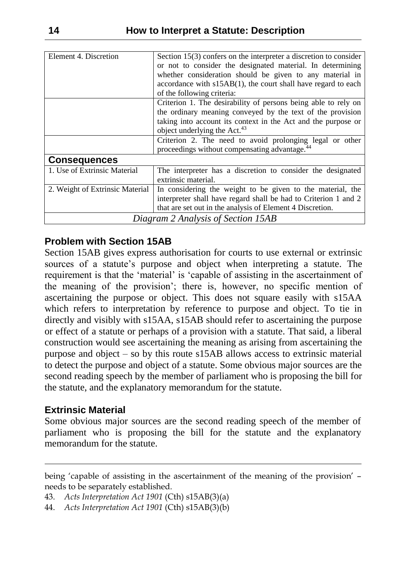| Element 4. Discretion              | Section $15(3)$ confers on the interpreter a discretion to consider |  |  |
|------------------------------------|---------------------------------------------------------------------|--|--|
|                                    | or not to consider the designated material. In determining          |  |  |
|                                    | whether consideration should be given to any material in            |  |  |
|                                    | accordance with $s15AB(1)$ , the court shall have regard to each    |  |  |
|                                    | of the following criteria:                                          |  |  |
|                                    | Criterion 1. The desirability of persons being able to rely on      |  |  |
|                                    | the ordinary meaning conveyed by the text of the provision          |  |  |
|                                    | taking into account its context in the Act and the purpose or       |  |  |
|                                    | object underlying the Act. <sup>43</sup>                            |  |  |
|                                    | Criterion 2. The need to avoid prolonging legal or other            |  |  |
|                                    | proceedings without compensating advantage. <sup>44</sup>           |  |  |
| <b>Consequences</b>                |                                                                     |  |  |
| 1. Use of Extrinsic Material       | The interpreter has a discretion to consider the designated         |  |  |
|                                    | extrinsic material.                                                 |  |  |
| 2. Weight of Extrinsic Material    | In considering the weight to be given to the material, the          |  |  |
|                                    | interpreter shall have regard shall be had to Criterion 1 and 2     |  |  |
|                                    | that are set out in the analysis of Element 4 Discretion.           |  |  |
| Diagram 2 Analysis of Section 15AB |                                                                     |  |  |

### **Problem with Section 15AB**

Section 15AB gives express authorisation for courts to use external or extrinsic sources of a statute's purpose and object when interpreting a statute. The requirement is that the 'material' is 'capable of assisting in the ascertainment of the meaning of the provision'; there is, however, no specific mention of ascertaining the purpose or object. This does not square easily with s15AA which refers to interpretation by reference to purpose and object. To tie in directly and visibly with s15AA, s15AB should refer to ascertaining the purpose or effect of a statute or perhaps of a provision with a statute. That said, a liberal construction would see ascertaining the meaning as arising from ascertaining the purpose and object – so by this route s15AB allows access to extrinsic material to detect the purpose and object of a statute. Some obvious major sources are the second reading speech by the member of parliament who is proposing the bill for the statute, and the explanatory memorandum for the statute.

## **Extrinsic Material**

Some obvious major sources are the second reading speech of the member of parliament who is proposing the bill for the statute and the explanatory memorandum for the statute.

being 'capable of assisting in the ascertainment of the meaning of the provision' – needs to be separately established.

<sup>43.</sup> *Acts Interpretation Act 1901* (Cth) s15AB(3)(a)

<sup>44.</sup> *Acts Interpretation Act 1901* (Cth) s15AB(3)(b)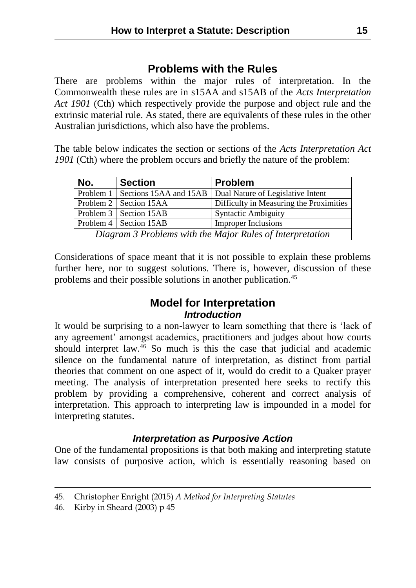# **Problems with the Rules**

There are problems within the major rules of interpretation. In the Commonwealth these rules are in s15AA and s15AB of the *Acts Interpretation Act 1901* (Cth) which respectively provide the purpose and object rule and the extrinsic material rule. As stated, there are equivalents of these rules in the other Australian jurisdictions, which also have the problems.

The table below indicates the section or sections of the *Acts Interpretation Act 1901* (Cth) where the problem occurs and briefly the nature of the problem:

| No.                                                       | <b>Section</b>           | <b>Problem</b>                                                         |
|-----------------------------------------------------------|--------------------------|------------------------------------------------------------------------|
|                                                           |                          | Problem 1   Sections 15AA and 15AB   Dual Nature of Legislative Intent |
|                                                           | Problem 2   Section 15AA | Difficulty in Measuring the Proximities                                |
|                                                           | Problem 3   Section 15AB | <b>Syntactic Ambiguity</b>                                             |
|                                                           | Problem 4   Section 15AB | <b>Improper Inclusions</b>                                             |
| Diagram 3 Problems with the Major Rules of Interpretation |                          |                                                                        |

Considerations of space meant that it is not possible to explain these problems further here, nor to suggest solutions. There is, however, discussion of these problems and their possible solutions in another publication.<sup>45</sup>

# **Model for Interpretation** *Introduction*

It would be surprising to a non-lawyer to learn something that there is 'lack of any agreement' amongst academics, practitioners and judges about how courts should interpret law.<sup>46</sup> So much is this the case that judicial and academic silence on the fundamental nature of interpretation, as distinct from partial theories that comment on one aspect of it, would do credit to a Quaker prayer meeting. The analysis of interpretation presented here seeks to rectify this problem by providing a comprehensive, coherent and correct analysis of interpretation. This approach to interpreting law is impounded in a model for interpreting statutes.

## *Interpretation as Purposive Action*

One of the fundamental propositions is that both making and interpreting statute law consists of purposive action, which is essentially reasoning based on

<sup>45.</sup> Christopher Enright (2015) *A Method for Interpreting Statutes*

<sup>46.</sup> Kirby in Sheard (2003) p 45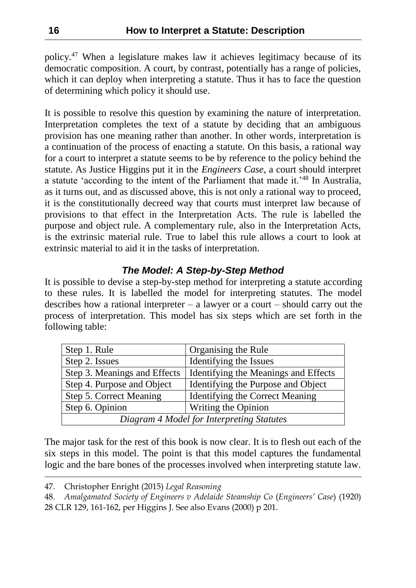policy.<sup>47</sup> When a legislature makes law it achieves legitimacy because of its democratic composition. A court, by contrast, potentially has a range of policies, which it can deploy when interpreting a statute. Thus it has to face the question of determining which policy it should use.

It is possible to resolve this question by examining the nature of interpretation. Interpretation completes the text of a statute by deciding that an ambiguous provision has one meaning rather than another. In other words, interpretation is a continuation of the process of enacting a statute. On this basis, a rational way for a court to interpret a statute seems to be by reference to the policy behind the statute. As Justice Higgins put it in the *Engineers Case*, a court should interpret a statute 'according to the intent of the Parliament that made it.'<sup>48</sup> In Australia, as it turns out, and as discussed above, this is not only a rational way to proceed, it is the constitutionally decreed way that courts must interpret law because of provisions to that effect in the Interpretation Acts. The rule is labelled the purpose and object rule. A complementary rule, also in the Interpretation Acts, is the extrinsic material rule. True to label this rule allows a court to look at extrinsic material to aid it in the tasks of interpretation.

# *The Model: A Step-by-Step Method*

It is possible to devise a step-by-step method for interpreting a statute according to these rules. It is labelled the model for interpreting statutes. The model describes how a rational interpreter  $-$  a lawyer or a court  $-$  should carry out the process of interpretation. This model has six steps which are set forth in the following table:

| Step 1. Rule                              | Organising the Rule                  |  |
|-------------------------------------------|--------------------------------------|--|
| Step 2. Issues                            | Identifying the Issues               |  |
| Step 3. Meanings and Effects              | Identifying the Meanings and Effects |  |
| Step 4. Purpose and Object                | Identifying the Purpose and Object   |  |
| Step 5. Correct Meaning                   | Identifying the Correct Meaning      |  |
| Step 6. Opinion                           | Writing the Opinion                  |  |
| Diagram 4 Model for Interpreting Statutes |                                      |  |

The major task for the rest of this book is now clear. It is to flesh out each of the six steps in this model. The point is that this model captures the fundamental logic and the bare bones of the processes involved when interpreting statute law.

<sup>47.</sup> Christopher Enright (2015) *Legal Reasoning*

<sup>48.</sup> *Amalgamated Society of Engineers v Adelaide Steamship Co* (*Engineers' Case*) (1920) 28 CLR 129, 161-162, per Higgins J. See also Evans (2000) p 201.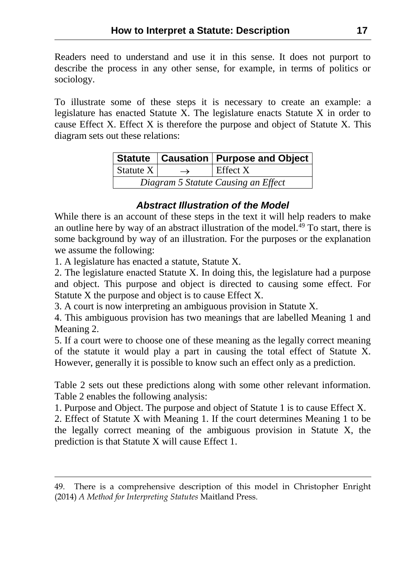Readers need to understand and use it in this sense. It does not purport to describe the process in any other sense, for example, in terms of politics or sociology.

To illustrate some of these steps it is necessary to create an example: a legislature has enacted Statute X. The legislature enacts Statute X in order to cause Effect X. Effect X is therefore the purpose and object of Statute X. This diagram sets out these relations:

|                                     |               | Statute   Causation   Purpose and Object |
|-------------------------------------|---------------|------------------------------------------|
| Statute $X$                         | $\rightarrow$ | Effect X                                 |
| Diagram 5 Statute Causing an Effect |               |                                          |

# *Abstract Illustration of the Model*

While there is an account of these steps in the text it will help readers to make an outline here by way of an abstract illustration of the model. $^{49}$  To start, there is some background by way of an illustration. For the purposes or the explanation we assume the following:

1. A legislature has enacted a statute, Statute X.

2. The legislature enacted Statute X. In doing this, the legislature had a purpose and object. This purpose and object is directed to causing some effect. For Statute X the purpose and object is to cause Effect X.

3. A court is now interpreting an ambiguous provision in Statute X.

4. This ambiguous provision has two meanings that are labelled Meaning 1 and Meaning 2.

5. If a court were to choose one of these meaning as the legally correct meaning of the statute it would play a part in causing the total effect of Statute X. However, generally it is possible to know such an effect only as a prediction.

Table 2 sets out these predictions along with some other relevant information. Table 2 enables the following analysis:

1. Purpose and Object. The purpose and object of Statute 1 is to cause Effect X.

2. Effect of Statute X with Meaning 1. If the court determines Meaning 1 to be the legally correct meaning of the ambiguous provision in Statute X, the prediction is that Statute X will cause Effect 1.

<sup>49.</sup> There is a comprehensive description of this model in Christopher Enright (2014) *A Method for Interpreting Statutes* Maitland Press.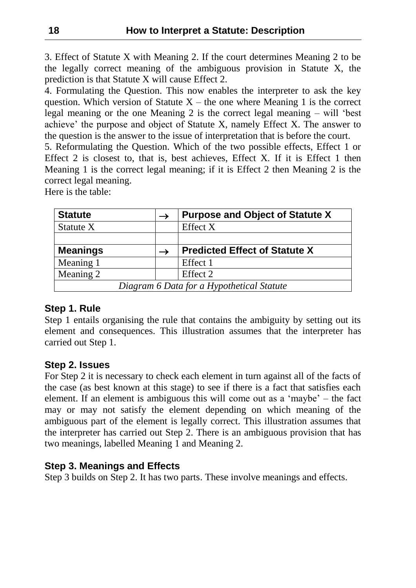3. Effect of Statute X with Meaning 2. If the court determines Meaning 2 to be the legally correct meaning of the ambiguous provision in Statute X, the prediction is that Statute X will cause Effect 2.

4. Formulating the Question. This now enables the interpreter to ask the key question. Which version of Statute  $X$  – the one where Meaning 1 is the correct legal meaning or the one Meaning 2 is the correct legal meaning – will 'best achieve' the purpose and object of Statute X, namely Effect X. The answer to the question is the answer to the issue of interpretation that is before the court.

5. Reformulating the Question. Which of the two possible effects, Effect 1 or Effect 2 is closest to, that is, best achieves, Effect X. If it is Effect 1 then Meaning 1 is the correct legal meaning; if it is Effect 2 then Meaning 2 is the correct legal meaning.

Here is the table:

| <b>Statute</b>                            | $\rightarrow$ | <b>Purpose and Object of Statute X</b> |
|-------------------------------------------|---------------|----------------------------------------|
| Statute X                                 |               | <b>Effect X</b>                        |
|                                           |               |                                        |
| <b>Meanings</b>                           |               | <b>Predicted Effect of Statute X</b>   |
| Meaning 1                                 |               | Effect 1                               |
| Meaning 2                                 |               | Effect 2                               |
| Diagram 6 Data for a Hypothetical Statute |               |                                        |

## **Step 1. Rule**

Step 1 entails organising the rule that contains the ambiguity by setting out its element and consequences. This illustration assumes that the interpreter has carried out Step 1.

## **Step 2. Issues**

For Step 2 it is necessary to check each element in turn against all of the facts of the case (as best known at this stage) to see if there is a fact that satisfies each element. If an element is ambiguous this will come out as a 'maybe' – the fact may or may not satisfy the element depending on which meaning of the ambiguous part of the element is legally correct. This illustration assumes that the interpreter has carried out Step 2. There is an ambiguous provision that has two meanings, labelled Meaning 1 and Meaning 2.

## **Step 3. Meanings and Effects**

Step 3 builds on Step 2. It has two parts. These involve meanings and effects.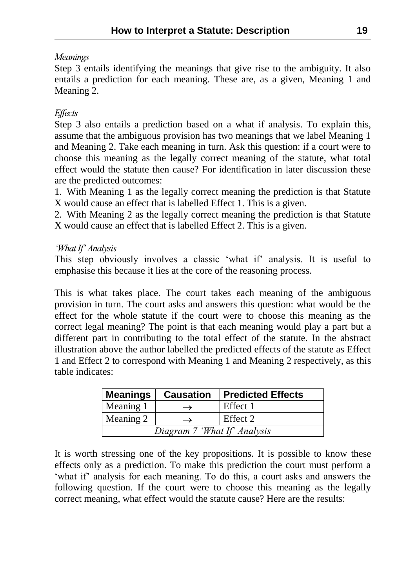### *Meanings*

Step 3 entails identifying the meanings that give rise to the ambiguity. It also entails a prediction for each meaning. These are, as a given, Meaning 1 and Meaning 2.

### *Effects*

Step 3 also entails a prediction based on a what if analysis. To explain this, assume that the ambiguous provision has two meanings that we label Meaning 1 and Meaning 2. Take each meaning in turn. Ask this question: if a court were to choose this meaning as the legally correct meaning of the statute, what total effect would the statute then cause? For identification in later discussion these are the predicted outcomes:

1. With Meaning 1 as the legally correct meaning the prediction is that Statute X would cause an effect that is labelled Effect 1. This is a given.

2. With Meaning 2 as the legally correct meaning the prediction is that Statute X would cause an effect that is labelled Effect 2. This is a given.

### *'What If' Analysis*

This step obviously involves a classic 'what if' analysis. It is useful to emphasise this because it lies at the core of the reasoning process.

This is what takes place. The court takes each meaning of the ambiguous provision in turn. The court asks and answers this question: what would be the effect for the whole statute if the court were to choose this meaning as the correct legal meaning? The point is that each meaning would play a part but a different part in contributing to the total effect of the statute. In the abstract illustration above the author labelled the predicted effects of the statute as Effect 1 and Effect 2 to correspond with Meaning 1 and Meaning 2 respectively, as this table indicates:

| Meanings                     | <b>Causation</b> | <b>Predicted Effects</b> |
|------------------------------|------------------|--------------------------|
| Meaning 1                    |                  | Effect 1                 |
| Meaning 2                    | $\rightarrow$    | Effect 2                 |
| Diagram 7 'What If' Analysis |                  |                          |

It is worth stressing one of the key propositions. It is possible to know these effects only as a prediction. To make this prediction the court must perform a 'what if' analysis for each meaning. To do this, a court asks and answers the following question. If the court were to choose this meaning as the legally correct meaning, what effect would the statute cause? Here are the results: